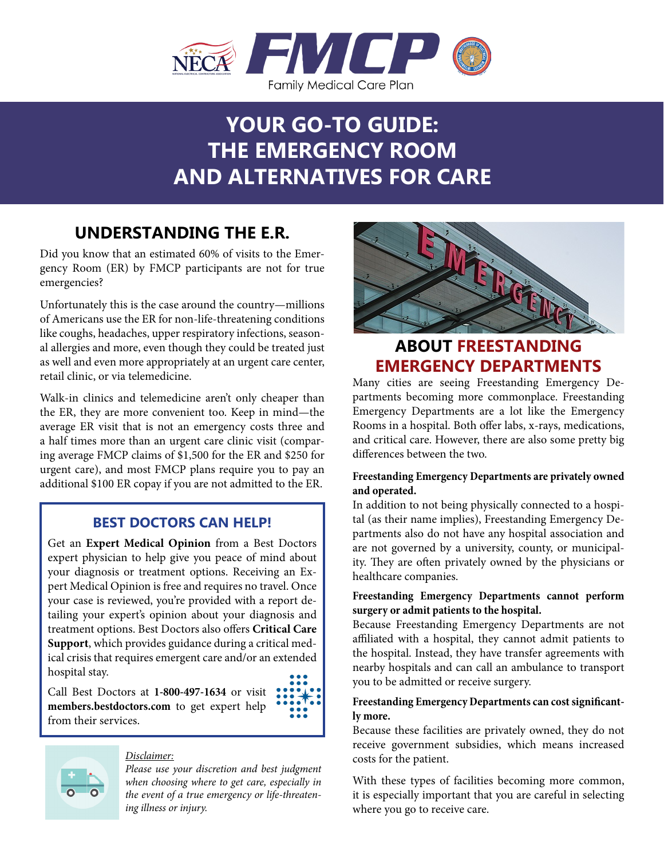

# **YOUR GO-TO GUIDE: THE EMERGENCY ROOM AND ALTERNATIVES FOR CARE**

## **UNDERSTANDING THE E.R.**

Did you know that an estimated 60% of visits to the Emergency Room (ER) by FMCP participants are not for true emergencies?

Unfortunately this is the case around the country—millions of Americans use the ER for non-life-threatening conditions like coughs, headaches, upper respiratory infections, seasonal allergies and more, even though they could be treated just as well and even more appropriately at an urgent care center, retail clinic, or via telemedicine.

Walk-in clinics and telemedicine aren't only cheaper than the ER, they are more convenient too. Keep in mind—the average ER visit that is not an emergency costs three and a half times more than an urgent care clinic visit (comparing average FMCP claims of \$1,500 for the ER and \$250 for urgent care), and most FMCP plans require you to pay an additional \$100 ER copay if you are not admitted to the ER.

### **BEST DOCTORS CAN HELP!**

Get an **Expert Medical Opinion** from a Best Doctors expert physician to help give you peace of mind about your diagnosis or treatment options. Receiving an Expert Medical Opinion is free and requires no travel. Once your case is reviewed, you're provided with a report detailing your expert's opinion about your diagnosis and treatment options. Best Doctors also offers **Critical Care Support**, which provides guidance during a critical medical crisis that requires emergent care and/or an extended hospital stay.

Call Best Doctors at **1-800-497-1634** or visit **members.bestdoctors.com** to get expert help from their services.





#### *Disclaimer:*

*Please use your discretion and best judgment when choosing where to get care, especially in the event of a true emergency or life-threatening illness or injury.*



### **ABOUT FREESTANDING EMERGENCY DEPARTMENTS**

Many cities are seeing Freestanding Emergency Departments becoming more commonplace. Freestanding Emergency Departments are a lot like the Emergency Rooms in a hospital. Both offer labs, x-rays, medications, and critical care. However, there are also some pretty big differences between the two.

#### **Freestanding Emergency Departments are privately owned and operated.**

In addition to not being physically connected to a hospital (as their name implies), Freestanding Emergency Departments also do not have any hospital association and are not governed by a university, county, or municipality. They are often privately owned by the physicians or healthcare companies.

#### **Freestanding Emergency Departments cannot perform surgery or admit patients to the hospital.**

Because Freestanding Emergency Departments are not affiliated with a hospital, they cannot admit patients to the hospital. Instead, they have transfer agreements with nearby hospitals and can call an ambulance to transport you to be admitted or receive surgery.

#### **Freestanding Emergency Departments can cost significantly more.**

Because these facilities are privately owned, they do not receive government subsidies, which means increased costs for the patient.

With these types of facilities becoming more common, it is especially important that you are careful in selecting where you go to receive care.